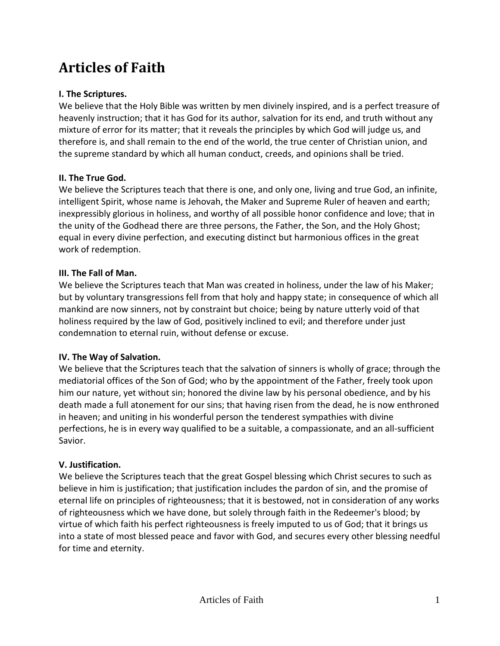# **Articles of Faith**

# **I. The Scriptures.**

We believe that the Holy Bible was written by men divinely inspired, and is a perfect treasure of heavenly instruction; that it has God for its author, salvation for its end, and truth without any mixture of error for its matter; that it reveals the principles by which God will judge us, and therefore is, and shall remain to the end of the world, the true center of Christian union, and the supreme standard by which all human conduct, creeds, and opinions shall be tried.

# **II. The True God.**

We believe the Scriptures teach that there is one, and only one, living and true God, an infinite, intelligent Spirit, whose name is Jehovah, the Maker and Supreme Ruler of heaven and earth; inexpressibly glorious in holiness, and worthy of all possible honor confidence and love; that in the unity of the Godhead there are three persons, the Father, the Son, and the Holy Ghost; equal in every divine perfection, and executing distinct but harmonious offices in the great work of redemption.

# **III. The Fall of Man.**

We believe the Scriptures teach that Man was created in holiness, under the law of his Maker; but by voluntary transgressions fell from that holy and happy state; in consequence of which all mankind are now sinners, not by constraint but choice; being by nature utterly void of that holiness required by the law of God, positively inclined to evil; and therefore under just condemnation to eternal ruin, without defense or excuse.

## **IV. The Way of Salvation.**

We believe that the Scriptures teach that the salvation of sinners is wholly of grace; through the mediatorial offices of the Son of God; who by the appointment of the Father, freely took upon him our nature, yet without sin; honored the divine law by his personal obedience, and by his death made a full atonement for our sins; that having risen from the dead, he is now enthroned in heaven; and uniting in his wonderful person the tenderest sympathies with divine perfections, he is in every way qualified to be a suitable, a compassionate, and an all-sufficient Savior.

## **V. Justification.**

We believe the Scriptures teach that the great Gospel blessing which Christ secures to such as believe in him is justification; that justification includes the pardon of sin, and the promise of eternal life on principles of righteousness; that it is bestowed, not in consideration of any works of righteousness which we have done, but solely through faith in the Redeemer's blood; by virtue of which faith his perfect righteousness is freely imputed to us of God; that it brings us into a state of most blessed peace and favor with God, and secures every other blessing needful for time and eternity.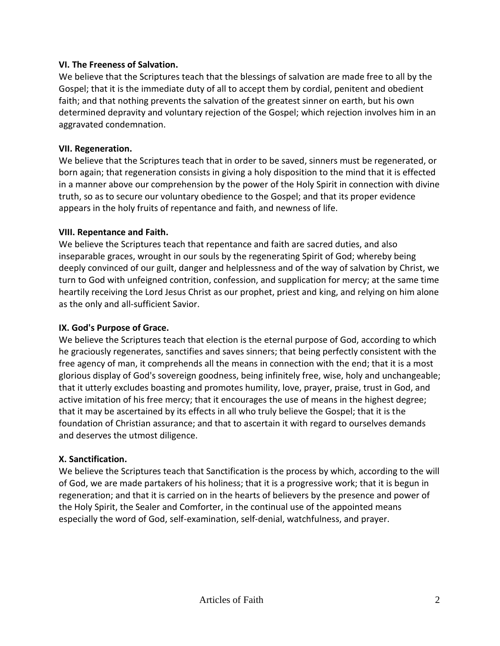## **VI. The Freeness of Salvation.**

We believe that the Scriptures teach that the blessings of salvation are made free to all by the Gospel; that it is the immediate duty of all to accept them by cordial, penitent and obedient faith; and that nothing prevents the salvation of the greatest sinner on earth, but his own determined depravity and voluntary rejection of the Gospel; which rejection involves him in an aggravated condemnation.

## **VII. Regeneration.**

We believe that the Scriptures teach that in order to be saved, sinners must be regenerated, or born again; that regeneration consists in giving a holy disposition to the mind that it is effected in a manner above our comprehension by the power of the Holy Spirit in connection with divine truth, so as to secure our voluntary obedience to the Gospel; and that its proper evidence appears in the holy fruits of repentance and faith, and newness of life.

#### **VIII. Repentance and Faith.**

We believe the Scriptures teach that repentance and faith are sacred duties, and also inseparable graces, wrought in our souls by the regenerating Spirit of God; whereby being deeply convinced of our guilt, danger and helplessness and of the way of salvation by Christ, we turn to God with unfeigned contrition, confession, and supplication for mercy; at the same time heartily receiving the Lord Jesus Christ as our prophet, priest and king, and relying on him alone as the only and all-sufficient Savior.

## **IX. God's Purpose of Grace.**

We believe the Scriptures teach that election is the eternal purpose of God, according to which he graciously regenerates, sanctifies and saves sinners; that being perfectly consistent with the free agency of man, it comprehends all the means in connection with the end; that it is a most glorious display of God's sovereign goodness, being infinitely free, wise, holy and unchangeable; that it utterly excludes boasting and promotes humility, love, prayer, praise, trust in God, and active imitation of his free mercy; that it encourages the use of means in the highest degree; that it may be ascertained by its effects in all who truly believe the Gospel; that it is the foundation of Christian assurance; and that to ascertain it with regard to ourselves demands and deserves the utmost diligence.

#### **X. Sanctification.**

We believe the Scriptures teach that Sanctification is the process by which, according to the will of God, we are made partakers of his holiness; that it is a progressive work; that it is begun in regeneration; and that it is carried on in the hearts of believers by the presence and power of the Holy Spirit, the Sealer and Comforter, in the continual use of the appointed means especially the word of God, self-examination, self-denial, watchfulness, and prayer.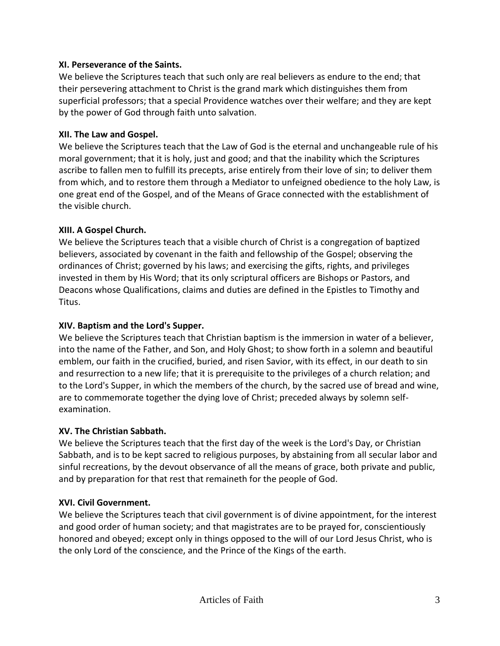## **XI. Perseverance of the Saints.**

We believe the Scriptures teach that such only are real believers as endure to the end; that their persevering attachment to Christ is the grand mark which distinguishes them from superficial professors; that a special Providence watches over their welfare; and they are kept by the power of God through faith unto salvation.

# **XII. The Law and Gospel.**

We believe the Scriptures teach that the Law of God is the eternal and unchangeable rule of his moral government; that it is holy, just and good; and that the inability which the Scriptures ascribe to fallen men to fulfill its precepts, arise entirely from their love of sin; to deliver them from which, and to restore them through a Mediator to unfeigned obedience to the holy Law, is one great end of the Gospel, and of the Means of Grace connected with the establishment of the visible church.

# **XIII. A Gospel Church.**

We believe the Scriptures teach that a visible church of Christ is a congregation of baptized believers, associated by covenant in the faith and fellowship of the Gospel; observing the ordinances of Christ; governed by his laws; and exercising the gifts, rights, and privileges invested in them by His Word; that its only scriptural officers are Bishops or Pastors, and Deacons whose Qualifications, claims and duties are defined in the Epistles to Timothy and Titus.

# **XIV. Baptism and the Lord's Supper.**

We believe the Scriptures teach that Christian baptism is the immersion in water of a believer, into the name of the Father, and Son, and Holy Ghost; to show forth in a solemn and beautiful emblem, our faith in the crucified, buried, and risen Savior, with its effect, in our death to sin and resurrection to a new life; that it is prerequisite to the privileges of a church relation; and to the Lord's Supper, in which the members of the church, by the sacred use of bread and wine, are to commemorate together the dying love of Christ; preceded always by solemn selfexamination.

# **XV. The Christian Sabbath.**

We believe the Scriptures teach that the first day of the week is the Lord's Day, or Christian Sabbath, and is to be kept sacred to religious purposes, by abstaining from all secular labor and sinful recreations, by the devout observance of all the means of grace, both private and public, and by preparation for that rest that remaineth for the people of God.

# **XVI. Civil Government.**

We believe the Scriptures teach that civil government is of divine appointment, for the interest and good order of human society; and that magistrates are to be prayed for, conscientiously honored and obeyed; except only in things opposed to the will of our Lord Jesus Christ, who is the only Lord of the conscience, and the Prince of the Kings of the earth.